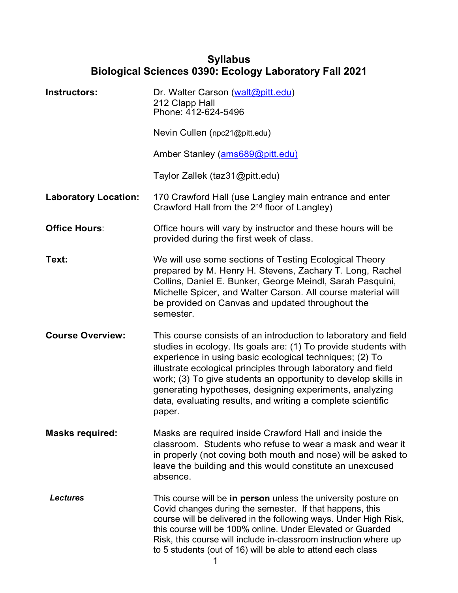## **Syllabus Biological Sciences 0390: Ecology Laboratory Fall 2021**

| Instructors:                | Dr. Walter Carson (walt@pitt.edu)<br>212 Clapp Hall<br>Phone: 412-624-5496                                                                                                                                                                                                                                                                                                                                                                                           |
|-----------------------------|----------------------------------------------------------------------------------------------------------------------------------------------------------------------------------------------------------------------------------------------------------------------------------------------------------------------------------------------------------------------------------------------------------------------------------------------------------------------|
|                             | Nevin Cullen (npc21@pitt.edu)                                                                                                                                                                                                                                                                                                                                                                                                                                        |
|                             | Amber Stanley (ams689@pitt.edu)                                                                                                                                                                                                                                                                                                                                                                                                                                      |
|                             | Taylor Zallek (taz31@pitt.edu)                                                                                                                                                                                                                                                                                                                                                                                                                                       |
| <b>Laboratory Location:</b> | 170 Crawford Hall (use Langley main entrance and enter<br>Crawford Hall from the 2 <sup>nd</sup> floor of Langley)                                                                                                                                                                                                                                                                                                                                                   |
| <b>Office Hours:</b>        | Office hours will vary by instructor and these hours will be<br>provided during the first week of class.                                                                                                                                                                                                                                                                                                                                                             |
| Text:                       | We will use some sections of Testing Ecological Theory<br>prepared by M. Henry H. Stevens, Zachary T. Long, Rachel<br>Collins, Daniel E. Bunker, George Meindl, Sarah Pasquini,<br>Michelle Spicer, and Walter Carson. All course material will<br>be provided on Canvas and updated throughout the<br>semester.                                                                                                                                                     |
| <b>Course Overview:</b>     | This course consists of an introduction to laboratory and field<br>studies in ecology. Its goals are: (1) To provide students with<br>experience in using basic ecological techniques; (2) To<br>illustrate ecological principles through laboratory and field<br>work; (3) To give students an opportunity to develop skills in<br>generating hypotheses, designing experiments, analyzing<br>data, evaluating results, and writing a complete scientific<br>paper. |
| <b>Masks required:</b>      | Masks are required inside Crawford Hall and inside the<br>classroom. Students who refuse to wear a mask and wear it<br>in properly (not coving both mouth and nose) will be asked to<br>leave the building and this would constitute an unexcused<br>absence.                                                                                                                                                                                                        |
| <b>Lectures</b>             | This course will be in person unless the university posture on<br>Covid changes during the semester. If that happens, this<br>course will be delivered in the following ways. Under High Risk,<br>this course will be 100% online. Under Elevated or Guarded<br>Risk, this course will include in-classroom instruction where up<br>to 5 students (out of 16) will be able to attend each class                                                                      |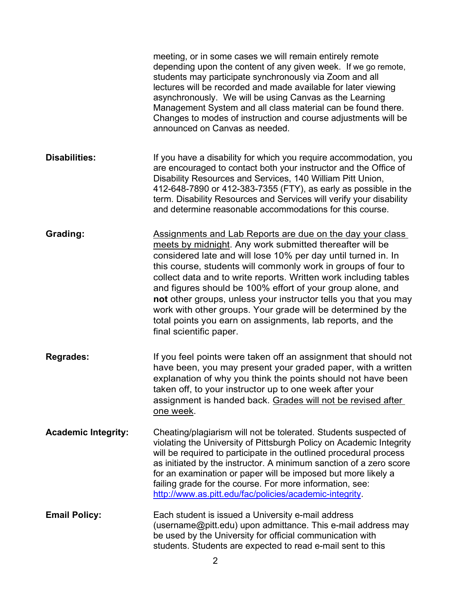|                            | meeting, or in some cases we will remain entirely remote<br>depending upon the content of any given week. If we go remote,<br>students may participate synchronously via Zoom and all<br>lectures will be recorded and made available for later viewing<br>asynchronously. We will be using Canvas as the Learning<br>Management System and all class material can be found there.<br>Changes to modes of instruction and course adjustments will be<br>announced on Canvas as needed.                                                                                                                                |
|----------------------------|-----------------------------------------------------------------------------------------------------------------------------------------------------------------------------------------------------------------------------------------------------------------------------------------------------------------------------------------------------------------------------------------------------------------------------------------------------------------------------------------------------------------------------------------------------------------------------------------------------------------------|
| <b>Disabilities:</b>       | If you have a disability for which you require accommodation, you<br>are encouraged to contact both your instructor and the Office of<br>Disability Resources and Services, 140 William Pitt Union,<br>412-648-7890 or 412-383-7355 (FTY), as early as possible in the<br>term. Disability Resources and Services will verify your disability<br>and determine reasonable accommodations for this course.                                                                                                                                                                                                             |
| Grading:                   | Assignments and Lab Reports are due on the day your class<br>meets by midnight. Any work submitted thereafter will be<br>considered late and will lose 10% per day until turned in. In<br>this course, students will commonly work in groups of four to<br>collect data and to write reports. Written work including tables<br>and figures should be 100% effort of your group alone, and<br>not other groups, unless your instructor tells you that you may<br>work with other groups. Your grade will be determined by the<br>total points you earn on assignments, lab reports, and the<br>final scientific paper. |
| <b>Regrades:</b>           | If you feel points were taken off an assignment that should not<br>have been, you may present your graded paper, with a written<br>explanation of why you think the points should not have been<br>taken off, to your instructor up to one week after your<br>assignment is handed back. Grades will not be revised after<br>one week.                                                                                                                                                                                                                                                                                |
| <b>Academic Integrity:</b> | Cheating/plagiarism will not be tolerated. Students suspected of<br>violating the University of Pittsburgh Policy on Academic Integrity<br>will be required to participate in the outlined procedural process<br>as initiated by the instructor. A minimum sanction of a zero score<br>for an examination or paper will be imposed but more likely a<br>failing grade for the course. For more information, see:<br>http://www.as.pitt.edu/fac/policies/academic-integrity.                                                                                                                                           |
| <b>Email Policy:</b>       | Each student is issued a University e-mail address<br>(username@pitt.edu) upon admittance. This e-mail address may<br>be used by the University for official communication with<br>students. Students are expected to read e-mail sent to this                                                                                                                                                                                                                                                                                                                                                                        |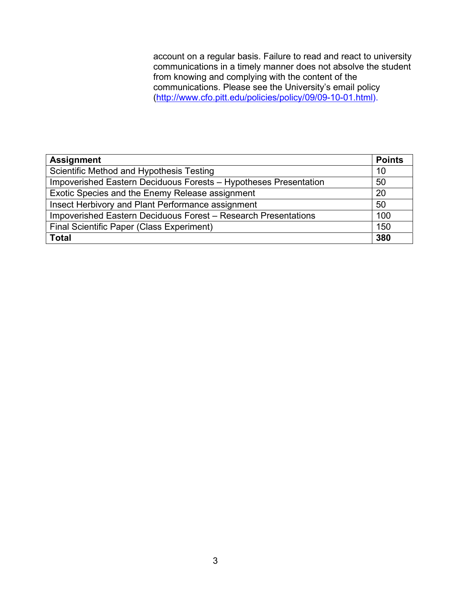account on a regular basis. Failure to read and react to university communications in a timely manner does not absolve the student from knowing and complying with the content of the communications. Please see the University's email policy [\(http://www.cfo.pitt.edu/policies/policy/09/09-10-01.html\)](http://www.cfo.pitt.edu/policies/policy/09/09-10-01.html).

| <b>Assignment</b>                                                |     |  |
|------------------------------------------------------------------|-----|--|
| Scientific Method and Hypothesis Testing                         |     |  |
| Impoverished Eastern Deciduous Forests - Hypotheses Presentation |     |  |
| Exotic Species and the Enemy Release assignment                  |     |  |
| Insect Herbivory and Plant Performance assignment                |     |  |
| Impoverished Eastern Deciduous Forest - Research Presentations   |     |  |
| <b>Final Scientific Paper (Class Experiment)</b>                 |     |  |
| <b>Total</b>                                                     | 380 |  |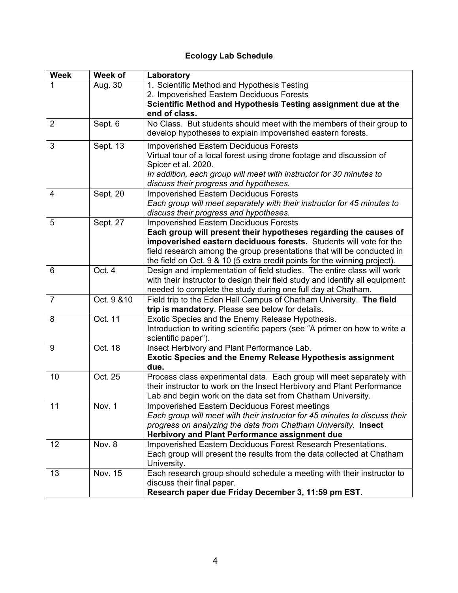## **Ecology Lab Schedule**

| <b>Week</b>    | Week of              | Laboratory                                                                                                                                                                                                                                                                                    |
|----------------|----------------------|-----------------------------------------------------------------------------------------------------------------------------------------------------------------------------------------------------------------------------------------------------------------------------------------------|
| 1              | Aug. 30              | 1. Scientific Method and Hypothesis Testing                                                                                                                                                                                                                                                   |
|                |                      | 2. Impoverished Eastern Deciduous Forests                                                                                                                                                                                                                                                     |
|                |                      | Scientific Method and Hypothesis Testing assignment due at the                                                                                                                                                                                                                                |
|                |                      | end of class.                                                                                                                                                                                                                                                                                 |
| $\overline{2}$ | Sept. 6              | No Class. But students should meet with the members of their group to<br>develop hypotheses to explain impoverished eastern forests.                                                                                                                                                          |
| 3              | Sept. 13             | <b>Impoverished Eastern Deciduous Forests</b><br>Virtual tour of a local forest using drone footage and discussion of<br>Spicer et al. 2020.<br>In addition, each group will meet with instructor for 30 minutes to<br>discuss their progress and hypotheses.                                 |
| 4              | Sept. 20             | <b>Impoverished Eastern Deciduous Forests</b>                                                                                                                                                                                                                                                 |
|                |                      | Each group will meet separately with their instructor for 45 minutes to<br>discuss their progress and hypotheses.                                                                                                                                                                             |
| 5              | Sept. 27             | <b>Impoverished Eastern Deciduous Forests</b>                                                                                                                                                                                                                                                 |
|                |                      | Each group will present their hypotheses regarding the causes of<br>impoverished eastern deciduous forests. Students will vote for the<br>field research among the group presentations that will be conducted in<br>the field on Oct. 9 & 10 (5 extra credit points for the winning project). |
| $6\phantom{1}$ | Oct. 4               | Design and implementation of field studies. The entire class will work<br>with their instructor to design their field study and identify all equipment<br>needed to complete the study during one full day at Chatham.                                                                        |
| $\overline{7}$ | Oct. 9 & 10          | Field trip to the Eden Hall Campus of Chatham University. The field<br>trip is mandatory. Please see below for details.                                                                                                                                                                       |
| 8              | Oct. 11              | Exotic Species and the Enemy Release Hypothesis.<br>Introduction to writing scientific papers (see "A primer on how to write a<br>scientific paper").                                                                                                                                         |
| 9              | Oct. 18              | Insect Herbivory and Plant Performance Lab.<br><b>Exotic Species and the Enemy Release Hypothesis assignment</b><br>due.                                                                                                                                                                      |
| 10             | Oct. 25              | Process class experimental data. Each group will meet separately with<br>their instructor to work on the Insect Herbivory and Plant Performance<br>Lab and begin work on the data set from Chatham University.                                                                                |
| 11             | $\overline{N}$ ov. 1 | Impoverished Eastern Deciduous Forest meetings<br>Each group will meet with their instructor for 45 minutes to discuss their<br>progress on analyzing the data from Chatham University. Insect<br>Herbivory and Plant Performance assignment due                                              |
| 12             | Nov. 8               | Impoverished Eastern Deciduous Forest Research Presentations.<br>Each group will present the results from the data collected at Chatham<br>University.                                                                                                                                        |
| 13             | <b>Nov. 15</b>       | Each research group should schedule a meeting with their instructor to<br>discuss their final paper.<br>Research paper due Friday December 3, 11:59 pm EST.                                                                                                                                   |